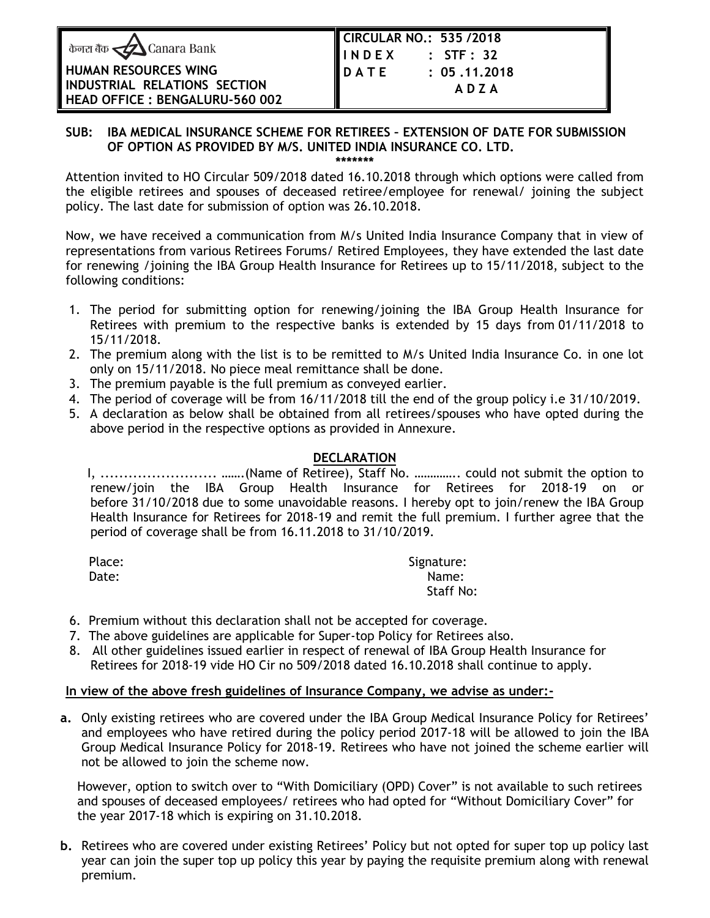| केनरा बैंक <u>&lt;</u> Canara Bank |  |  |  |  |
|------------------------------------|--|--|--|--|
|------------------------------------|--|--|--|--|

| HUMAN RESOURCES WING            |  |  |  |
|---------------------------------|--|--|--|
| INDUSTRIAL RELATIONS SECTION    |  |  |  |
| HEAD OFFICE : BENGALURU-560 002 |  |  |  |

| CIRCULAR NO.: 535/2018 |                |
|------------------------|----------------|
| INDEX                  | $:$ STF $:$ 32 |
| DATE                   | : 05.11.2018   |
|                        | ADZA           |
|                        |                |

## **SUB: IBA MEDICAL INSURANCE SCHEME FOR RETIREES – EXTENSION OF DATE FOR SUBMISSION OF OPTION AS PROVIDED BY M/S. UNITED INDIA INSURANCE CO. LTD.**

**\*\*\*\*\*\*\***

Attention invited to HO Circular 509/2018 dated 16.10.2018 through which options were called from the eligible retirees and spouses of deceased retiree/employee for renewal/ joining the subject policy. The last date for submission of option was 26.10.2018.

Now, we have received a communication from M/s United India Insurance Company that in view of representations from various Retirees Forums/ Retired Employees, they have extended the last date for renewing /joining the IBA Group Health Insurance for Retirees up to 15/11/2018, subject to the following conditions:

- 1. The period for submitting option for renewing/joining the IBA Group Health Insurance for Retirees with premium to the respective banks is extended by 15 days from 01/11/2018 to 15/11/2018.
- 2. The premium along with the list is to be remitted to M/s United India Insurance Co. in one lot only on 15/11/2018. No piece meal remittance shall be done.
- 3. The premium payable is the full premium as conveyed earlier.
- 4. The period of coverage will be from 16/11/2018 till the end of the group policy i.e 31/10/2019.
- 5. A declaration as below shall be obtained from all retirees/spouses who have opted during the above period in the respective options as provided in Annexure.

## **DECLARATION**

 I, ......................... …….(Name of Retiree), Staff No. ………….. could not submit the option to renew/join the IBA Group Health Insurance for Retirees for 2018-19 on or before 31/10/2018 due to some unavoidable reasons. I hereby opt to join/renew the IBA Group Health Insurance for Retirees for 2018-19 and remit the full premium. I further agree that the period of coverage shall be from 16.11.2018 to 31/10/2019.

| Place: | Signature: |
|--------|------------|
| Date:  | Name:      |
|        | Staff No:  |

- 6. Premium without this declaration shall not be accepted for coverage.
- 7. The above guidelines are applicable for Super-top Policy for Retirees also.
- 8. All other guidelines issued earlier in respect of renewal of IBA Group Health Insurance for Retirees for 2018-19 vide HO Cir no 509/2018 dated 16.10.2018 shall continue to apply.

## **In view of the above fresh guidelines of Insurance Company, we advise as under:-**

**a.** Only existing retirees who are covered under the IBA Group Medical Insurance Policy for Retirees' and employees who have retired during the policy period 2017-18 will be allowed to join the IBA Group Medical Insurance Policy for 2018-19. Retirees who have not joined the scheme earlier will not be allowed to join the scheme now.

 However, option to switch over to "With Domiciliary (OPD) Cover" is not available to such retirees and spouses of deceased employees/ retirees who had opted for "Without Domiciliary Cover" for the year 2017-18 which is expiring on 31.10.2018.

**b.** Retirees who are covered under existing Retirees' Policy but not opted for super top up policy last year can join the super top up policy this year by paying the requisite premium along with renewal premium.